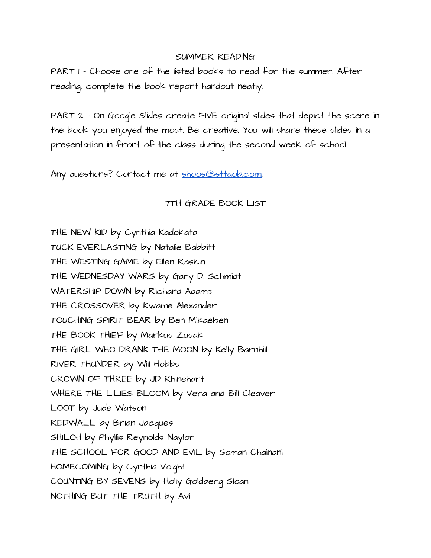## SUMMER READING

PART 1 - Choose one of the listed books to read for the summer. After reading, complete the book report handout neatly.

PART 2 - On Google Slides create FIVE original slides that depict the scene in the book you enjoyed the most. Be creative. You will share these slides in a presentation in front of the class during the second week of school.

Any questions? Contact me at [shoos@sttaob.com.](mailto:shoos@sttaob.com)

## 7TH GRADE BOOK LIST

THE NEW KID by Cynthia Kadokata TUCK EVERLASTING by Natalie Babbitt THE WESTING GAME by Ellen Raskin THE WEDNESDAY WARS by Gary D. Schmidt WATERSHIP DOWN by Richard Adams THE CROSSOVER by Kwame Alexander TOUCHING SPIRIT BEAR by Ben Mikaelsen THE BOOK THIEF by Markus Zusak THE GIRL WHO DRANK THE MOON by Kelly Barnhill RIVER THUNDER by Will Hobbs CROWN OF THREE by JD Rhinehart WHERE THE LILIES BLOOM by Vera and Bill Cleaver LOOT by Jude Watson REDWALL by Brian Jacques SHILOH by Phyllis Reynolds Naylor THE SCHOOL FOR GOOD AND EVIL by Soman Chainani HOMECOMING by Cynthia Voight COUNTING BY SEVENS by Holly Goldberg Sloan NOTHING BUT THE TRUTH by Avi